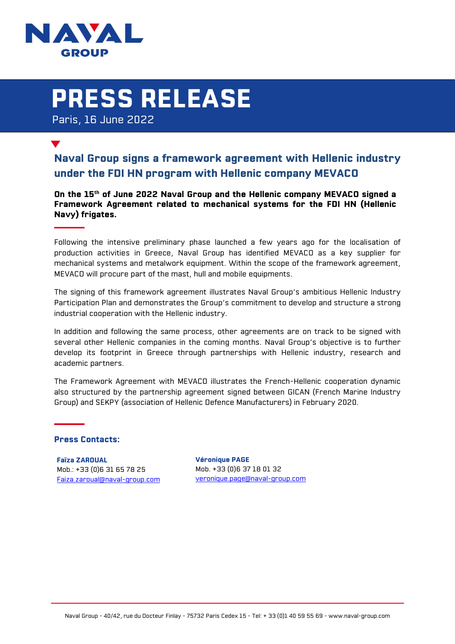

## PRESS RELEASE

Paris, 16 June 2022

## Naval Group signs a framework agreement with Hellenic industry under the FDI HN program with Hellenic company MEVACO

On the 15<sup>th</sup> of June 2022 Naval Group and the Hellenic company MEVACO signed a Framework Agreement related to mechanical systems for the FDI HN (Hellenic Navy) frigates.

Following the intensive preliminary phase launched a few years ago for the localisation of production activities in Greece, Naval Group has identified MEVACO as a key supplier for mechanical systems and metalwork equipment. Within the scope of the framework agreement, MEVACO will procure part of the mast, hull and mobile equipments.

The signing of this framework agreement illustrates Naval Group's ambitious Hellenic Industry Participation Plan and demonstrates the Group's commitment to develop and structure a strong industrial cooperation with the Hellenic industry.

In addition and following the same process, other agreements are on track to be signed with several other Hellenic companies in the coming months. Naval Group's objective is to further develop its footprint in Greece through partnerships with Hellenic industry, research and academic partners.

The Framework Agreement with MEVACO illustrates the French-Hellenic cooperation dynamic also structured by the partnership agreement signed between GICAN (French Marine Industry Group) and SEKPY (association of Hellenic Defence Manufacturers) in February 2020.

## Press Contacts:

Faïza ZAROUAL Mob.: +33 (0)6 31 65 78 25 Faiza.zaroual@naval-group.com

Véronique PAGE Mob. +33 (0)6 37 18 01 32 veronique.page@naval-group.com